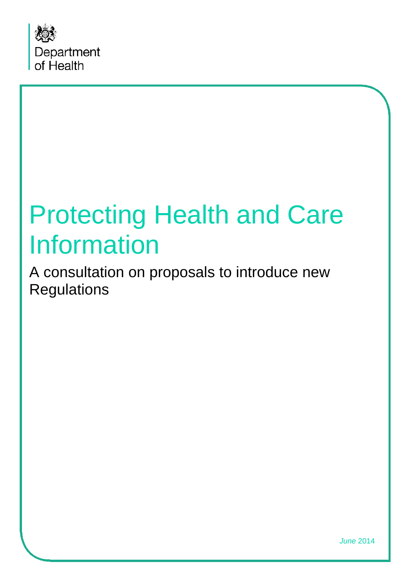

# Protecting Health and Care Information

<span id="page-0-0"></span>A consultation on proposals to introduce new **Regulations** 

*June* 2014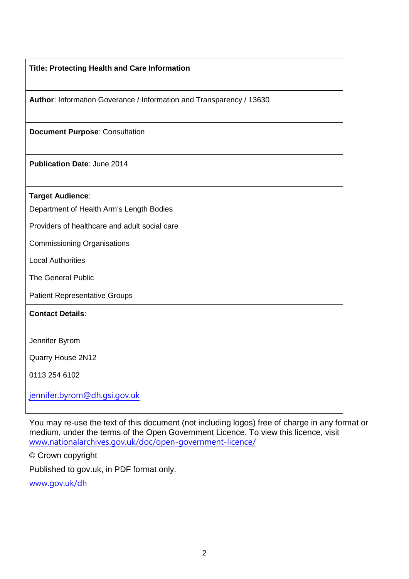|  |  |  |  |  | <b>Title: Protecting Health and Care Information</b> |
|--|--|--|--|--|------------------------------------------------------|
|--|--|--|--|--|------------------------------------------------------|

**Author**: Information Goverance / Information and Transparency / 13630

**Document Purpose**: Consultation

**Publication Date**: June 2014

**Target Audience**:

Department of Health Arm's Length Bodies

Providers of healthcare and adult social care

Commissioning Organisations

Local Authorities

The General Public

Patient Representative Groups

**Contact Details**:

Jennifer Byrom

Quarry House 2N12

0113 254 6102

[jennifer.byrom@dh.gsi.gov.uk](mailto:jennifer.byrom@dh.gsi.gov.uk)

You may re-use the text of this document (not including logos) free of charge in any format or medium, under the terms of the Open Government Licence. To view this licence, visit [www.nationalarchives.gov.uk/doc/open-government-licence/](http://www.nationalarchives.gov.uk/doc/open-government-licence/)

© Crown copyright

Published to gov.uk, in PDF format only.

[www.gov.uk/dh](http://www.gov.uk/dh)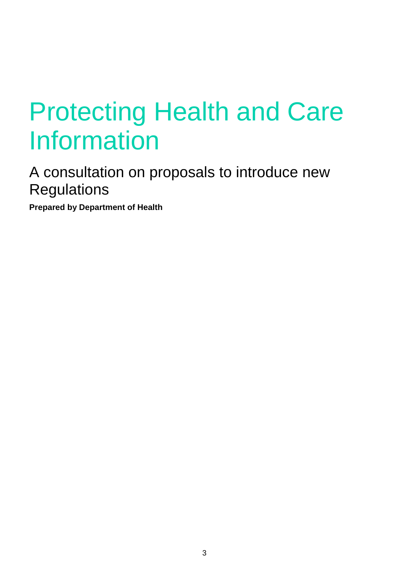# Protecting Health and Care **Information**

A consultation on proposals to introduce new **Regulations** 

**Prepared by Department of Health**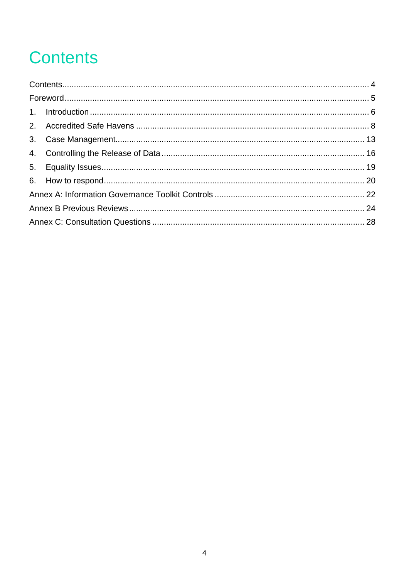# **Contents**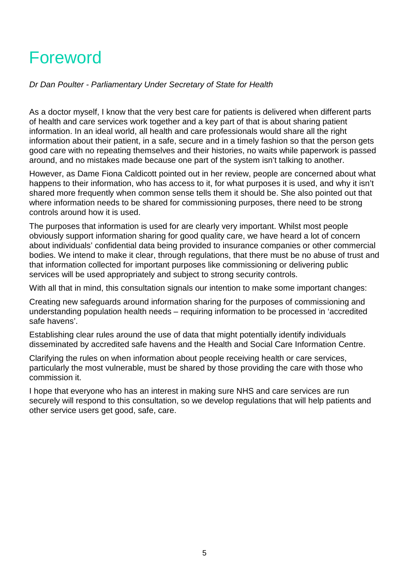# Foreword

*Dr Dan Poulter - Parliamentary Under Secretary of State for Health*

As a doctor myself, I know that the very best care for patients is delivered when different parts of health and care services work together and a key part of that is about sharing patient information. In an ideal world, all health and care professionals would share all the right information about their patient, in a safe, secure and in a timely fashion so that the person gets good care with no repeating themselves and their histories, no waits while paperwork is passed around, and no mistakes made because one part of the system isn't talking to another.

However, as Dame Fiona Caldicott pointed out in her review, people are concerned about what happens to their information, who has access to it, for what purposes it is used, and why it isn't shared more frequently when common sense tells them it should be. She also pointed out that where information needs to be shared for commissioning purposes, there need to be strong controls around how it is used.

The purposes that information is used for are clearly very important. Whilst most people obviously support information sharing for good quality care, we have heard a lot of concern about individuals' confidential data being provided to insurance companies or other commercial bodies. We intend to make it clear, through regulations, that there must be no abuse of trust and that information collected for important purposes like commissioning or delivering public services will be used appropriately and subject to strong security controls.

With all that in mind, this consultation signals our intention to make some important changes:

Creating new safeguards around information sharing for the purposes of commissioning and understanding population health needs – requiring information to be processed in 'accredited safe havens'.

Establishing clear rules around the use of data that might potentially identify individuals disseminated by accredited safe havens and the Health and Social Care Information Centre.

Clarifying the rules on when information about people receiving health or care services, particularly the most vulnerable, must be shared by those providing the care with those who commission it.

I hope that everyone who has an interest in making sure NHS and care services are run securely will respond to this consultation, so we develop regulations that will help patients and other service users get good, safe, care.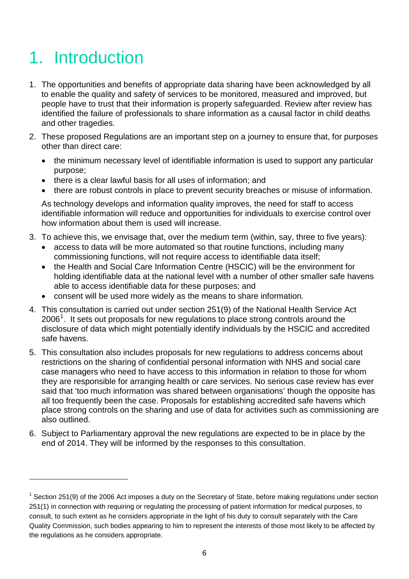# 1. Introduction

 $\overline{a}$ 

- 1. The opportunities and benefits of appropriate data sharing have been acknowledged by all to enable the quality and safety of services to be monitored, measured and improved, but people have to trust that their information is properly safeguarded. Review after review has identified the failure of professionals to share information as a causal factor in child deaths and other tragedies.
- 2. These proposed Regulations are an important step on a journey to ensure that, for purposes other than direct care:
	- the minimum necessary level of identifiable information is used to support any particular purpose;
	- there is a clear lawful basis for all uses of information; and
	- there are robust controls in place to prevent security breaches or misuse of information.

As technology develops and information quality improves, the need for staff to access identifiable information will reduce and opportunities for individuals to exercise control over how information about them is used will increase.

- 3. To achieve this, we envisage that, over the medium term (within, say, three to five years):
	- access to data will be more automated so that routine functions, including many commissioning functions, will not require access to identifiable data itself;
	- the Health and Social Care Information Centre (HSCIC) will be the environment for holding identifiable data at the national level with a number of other smaller safe havens able to access identifiable data for these purposes; and
	- consent will be used more widely as the means to share information*.*
- 4. This consultation is carried out under section 251(9) of the National Health Service Act 2006<sup>[1](#page-0-0)</sup>. It sets out proposals for new regulations to place strong controls around the disclosure of data which might potentially identify individuals by the HSCIC and accredited safe havens.
- 5. This consultation also includes proposals for new regulations to address concerns about restrictions on the sharing of confidential personal information with NHS and social care case managers who need to have access to this information in relation to those for whom they are responsible for arranging health or care services. No serious case review has ever said that 'too much information was shared between organisations' though the opposite has all too frequently been the case. Proposals for establishing accredited safe havens which place strong controls on the sharing and use of data for activities such as commissioning are also outlined.
- 6. Subject to Parliamentary approval the new regulations are expected to be in place by the end of 2014. They will be informed by the responses to this consultation.

<span id="page-5-0"></span> $1$  Section 251(9) of the 2006 Act imposes a duty on the Secretary of State, before making regulations under section 251(1) in connection with requiring or regulating the processing of patient information for medical purposes, to consult, to such extent as he considers appropriate in the light of his duty to consult separately with the Care Quality Commission, such bodies appearing to him to represent the interests of those most likely to be affected by the regulations as he considers appropriate.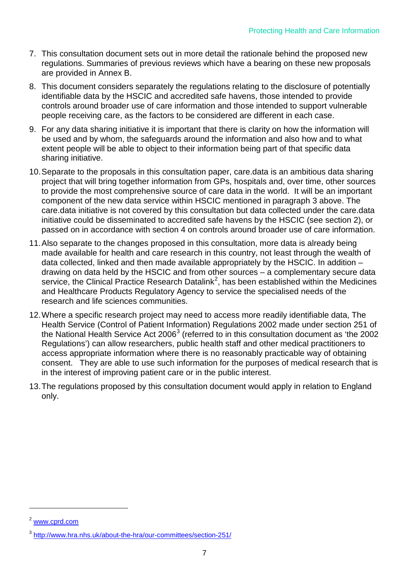- 7. This consultation document sets out in more detail the rationale behind the proposed new regulations. Summaries of previous reviews which have a bearing on these new proposals are provided in Annex B.
- 8. This document considers separately the regulations relating to the disclosure of potentially identifiable data by the HSCIC and accredited safe havens, those intended to provide controls around broader use of care information and those intended to support vulnerable people receiving care, as the factors to be considered are different in each case.
- 9. For any data sharing initiative it is important that there is clarity on how the information will be used and by whom, the safeguards around the information and also how and to what extent people will be able to object to their information being part of that specific data sharing initiative.
- 10.Separate to the proposals in this consultation paper, care.data is an ambitious data sharing project that will bring together information from GPs, hospitals and, over time, other sources to provide the most comprehensive source of care data in the world. It will be an important component of the new data service within HSCIC mentioned in paragraph 3 above. The care.data initiative is not covered by this consultation but data collected under the care.data initiative could be disseminated to accredited safe havens by the HSCIC (see section 2), or passed on in accordance with section 4 on controls around broader use of care information.
- 11.Also separate to the changes proposed in this consultation, more data is already being made available for health and care research in this country, not least through the wealth of data collected, linked and then made available appropriately by the HSCIC. In addition – drawing on data held by the HSCIC and from other sources – a complementary secure data service, the Clinical Practice Research Datalink<sup>[2](#page-5-0)</sup>, has been established within the Medicines and Healthcare Products Regulatory Agency to service the specialised needs of the research and life sciences communities.
- 12.Where a specific research project may need to access more readily identifiable data, The Health Service (Control of Patient Information) Regulations 2002 made under section 251 of the National Health Service Act 2006<sup>[3](#page-6-0)</sup> (referred to in this consultation document as 'the 2002 Regulations') can allow researchers, public health staff and other medical practitioners to access appropriate information where there is no reasonably practicable way of obtaining consent. They are able to use such information for the purposes of medical research that is in the interest of improving patient care or in the public interest.
- 13.The regulations proposed by this consultation document would apply in relation to England only.

<sup>2</sup> [www.cprd.com](http://www.cprd.com/)

<span id="page-6-0"></span><sup>3</sup> <http://www.hra.nhs.uk/about-the-hra/our-committees/section-251/>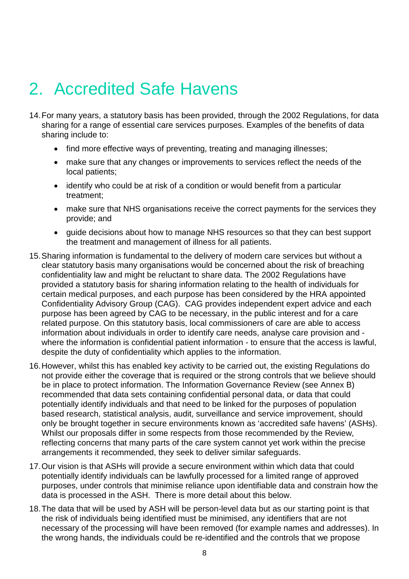# 2. Accredited Safe Havens

- 14.For many years, a statutory basis has been provided, through the 2002 Regulations, for data sharing for a range of essential care services purposes. Examples of the benefits of data sharing include to:
	- find more effective ways of preventing, treating and managing illnesses;
	- make sure that any changes or improvements to services reflect the needs of the local patients;
	- identify who could be at risk of a condition or would benefit from a particular treatment;
	- make sure that NHS organisations receive the correct payments for the services they provide; and
	- guide decisions about how to manage NHS resources so that they can best support the treatment and management of illness for all patients.
- 15.Sharing information is fundamental to the delivery of modern care services but without a clear statutory basis many organisations would be concerned about the risk of breaching confidentiality law and might be reluctant to share data. The 2002 Regulations have provided a statutory basis for sharing information relating to the health of individuals for certain medical purposes, and each purpose has been considered by the HRA appointed Confidentiality Advisory Group (CAG). CAG provides independent expert advice and each purpose has been agreed by CAG to be necessary, in the public interest and for a care related purpose. On this statutory basis, local commissioners of care are able to access information about individuals in order to identify care needs, analyse care provision and where the information is confidential patient information - to ensure that the access is lawful, despite the duty of confidentiality which applies to the information.
- 16.However, whilst this has enabled key activity to be carried out, the existing Regulations do not provide either the coverage that is required or the strong controls that we believe should be in place to protect information. The Information Governance Review (see Annex B) recommended that data sets containing confidential personal data, or data that could potentially identify individuals and that need to be linked for the purposes of population based research, statistical analysis, audit, surveillance and service improvement, should only be brought together in secure environments known as 'accredited safe havens' (ASHs). Whilst our proposals differ in some respects from those recommended by the Review, reflecting concerns that many parts of the care system cannot yet work within the precise arrangements it recommended, they seek to deliver similar safeguards.
- 17.Our vision is that ASHs will provide a secure environment within which data that could potentially identify individuals can be lawfully processed for a limited range of approved purposes, under controls that minimise reliance upon identifiable data and constrain how the data is processed in the ASH. There is more detail about this below.
- 18.The data that will be used by ASH will be person-level data but as our starting point is that the risk of individuals being identified must be minimised, any identifiers that are not necessary of the processing will have been removed (for example names and addresses). In the wrong hands, the individuals could be re-identified and the controls that we propose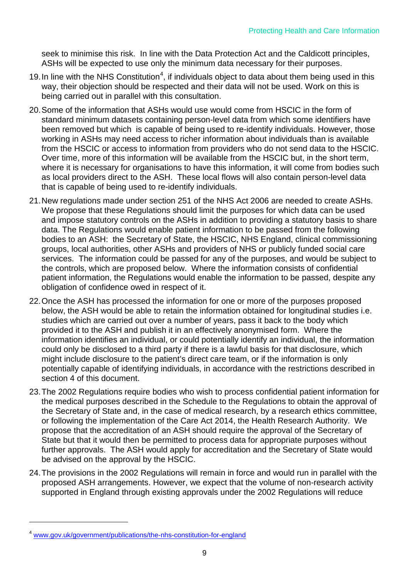seek to minimise this risk. In line with the Data Protection Act and the Caldicott principles, ASHs will be expected to use only the minimum data necessary for their purposes.

- 19. In line with the NHS Constitution<sup>[4](#page-6-0)</sup>, if individuals object to data about them being used in this way, their objection should be respected and their data will not be used. Work on this is being carried out in parallel with this consultation.
- 20.Some of the information that ASHs would use would come from HSCIC in the form of standard minimum datasets containing person-level data from which some identifiers have been removed but which is capable of being used to re-identify individuals. However, those working in ASHs may need access to richer information about individuals than is available from the HSCIC or access to information from providers who do not send data to the HSCIC. Over time, more of this information will be available from the HSCIC but, in the short term, where it is necessary for organisations to have this information, it will come from bodies such as local providers direct to the ASH. These local flows will also contain person-level data that is capable of being used to re-identify individuals.
- 21.New regulations made under section 251 of the NHS Act 2006 are needed to create ASHs. We propose that these Regulations should limit the purposes for which data can be used and impose statutory controls on the ASHs in addition to providing a statutory basis to share data. The Regulations would enable patient information to be passed from the following bodies to an ASH: the Secretary of State, the HSCIC, NHS England, clinical commissioning groups, local authorities, other ASHs and providers of NHS or publicly funded social care services. The information could be passed for any of the purposes, and would be subject to the controls, which are proposed below. Where the information consists of confidential patient information, the Regulations would enable the information to be passed, despite any obligation of confidence owed in respect of it.
- 22.Once the ASH has processed the information for one or more of the purposes proposed below, the ASH would be able to retain the information obtained for longitudinal studies i.e. studies which are carried out over a number of years, pass it back to the body which provided it to the ASH and publish it in an effectively anonymised form. Where the information identifies an individual, or could potentially identify an individual, the information could only be disclosed to a third party if there is a lawful basis for that disclosure, which might include disclosure to the patient's direct care team, or if the information is only potentially capable of identifying individuals, in accordance with the restrictions described in section 4 of this document.
- 23.The 2002 Regulations require bodies who wish to process confidential patient information for the medical purposes described in the Schedule to the Regulations to obtain the approval of the Secretary of State and, in the case of medical research, by a research ethics committee, or following the implementation of the Care Act 2014, the Health Research Authority. We propose that the accreditation of an ASH should require the approval of the Secretary of State but that it would then be permitted to process data for appropriate purposes without further approvals. The ASH would apply for accreditation and the Secretary of State would be advised on the approval by the HSCIC.
- 24.The provisions in the 2002 Regulations will remain in force and would run in parallel with the proposed ASH arrangements. However, we expect that the volume of non-research activity supported in England through existing approvals under the 2002 Regulations will reduce

<span id="page-8-0"></span><sup>4</sup> [www.gov.uk/government/publications/the-nhs-constitution-for-england](http://www.gov.uk/government/publications/the-nhs-constitution-for-england)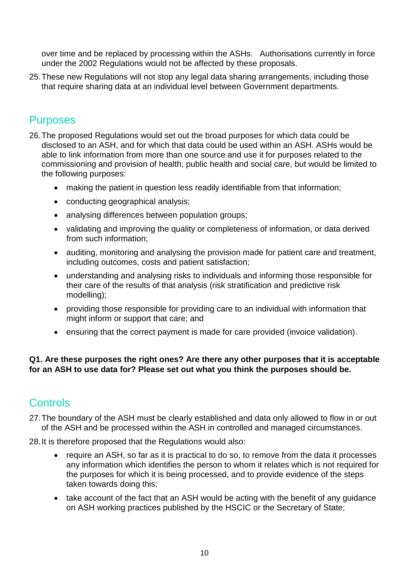over time and be replaced by processing within the ASHs. Authorisations currently in force under the 2002 Regulations would not be affected by these proposals.

25.These new Regulations will not stop any legal data sharing arrangements, including those that require sharing data at an individual level between Government departments.

#### **Purposes**

- 26.The proposed Regulations would set out the broad purposes for which data could be disclosed to an ASH, and for which that data could be used within an ASH. ASHs would be able to link information from more than one source and use it for purposes related to the commissioning and provision of health, public health and social care, but would be limited to the following purposes:
	- making the patient in question less readily identifiable from that information;
	- conducting geographical analysis;
	- analysing differences between population groups;
	- validating and improving the quality or completeness of information, or data derived from such information;
	- auditing, monitoring and analysing the provision made for patient care and treatment, including outcomes, costs and patient satisfaction;
	- understanding and analysing risks to individuals and informing those responsible for their care of the results of that analysis (risk stratification and predictive risk modelling);
	- providing those responsible for providing care to an individual with information that might inform or support that care; and
	- ensuring that the correct payment is made for care provided (invoice validation).

#### **Q1. Are these purposes the right ones? Are there any other purposes that it is acceptable for an ASH to use data for? Please set out what you think the purposes should be.**

### **Controls**

- 27.The boundary of the ASH must be clearly established and data only allowed to flow in or out of the ASH and be processed within the ASH in controlled and managed circumstances.
- 28.It is therefore proposed that the Regulations would also:
	- require an ASH, so far as it is practical to do so, to remove from the data it processes any information which identifies the person to whom it relates which is not required for the purposes for which it is being processed, and to provide evidence of the steps taken towards doing this;
	- take account of the fact that an ASH would be acting with the benefit of any guidance on ASH working practices published by the HSCIC or the Secretary of State;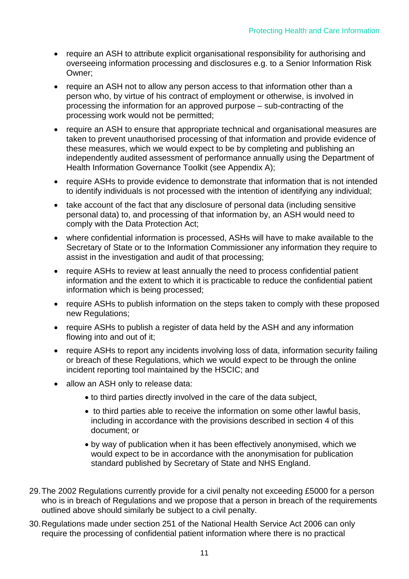- require an ASH to attribute explicit organisational responsibility for authorising and overseeing information processing and disclosures e.g. to a Senior Information Risk Owner;
- require an ASH not to allow any person access to that information other than a person who, by virtue of his contract of employment or otherwise, is involved in processing the information for an approved purpose – sub-contracting of the processing work would not be permitted;
- require an ASH to ensure that appropriate technical and organisational measures are taken to prevent unauthorised processing of that information and provide evidence of these measures, which we would expect to be by completing and publishing an independently audited assessment of performance annually using the Department of Health Information Governance Toolkit (see Appendix A);
- require ASHs to provide evidence to demonstrate that information that is not intended to identify individuals is not processed with the intention of identifying any individual;
- take account of the fact that any disclosure of personal data (including sensitive personal data) to, and processing of that information by, an ASH would need to comply with the Data Protection Act;
- where confidential information is processed, ASHs will have to make available to the Secretary of State or to the Information Commissioner any information they require to assist in the investigation and audit of that processing;
- require ASHs to review at least annually the need to process confidential patient information and the extent to which it is practicable to reduce the confidential patient information which is being processed;
- require ASHs to publish information on the steps taken to comply with these proposed new Regulations;
- require ASHs to publish a register of data held by the ASH and any information flowing into and out of it;
- require ASHs to report any incidents involving loss of data, information security failing or breach of these Regulations, which we would expect to be through the online incident reporting tool maintained by the HSCIC; and
- allow an ASH only to release data:
	- to third parties directly involved in the care of the data subject,
	- to third parties able to receive the information on some other lawful basis, including in accordance with the provisions described in section 4 of this document; or
	- by way of publication when it has been effectively anonymised, which we would expect to be in accordance with the anonymisation for publication standard published by Secretary of State and NHS England.
- 29.The 2002 Regulations currently provide for a civil penalty not exceeding £5000 for a person who is in breach of Regulations and we propose that a person in breach of the requirements outlined above should similarly be subject to a civil penalty.
- 30.Regulations made under section 251 of the National Health Service Act 2006 can only require the processing of confidential patient information where there is no practical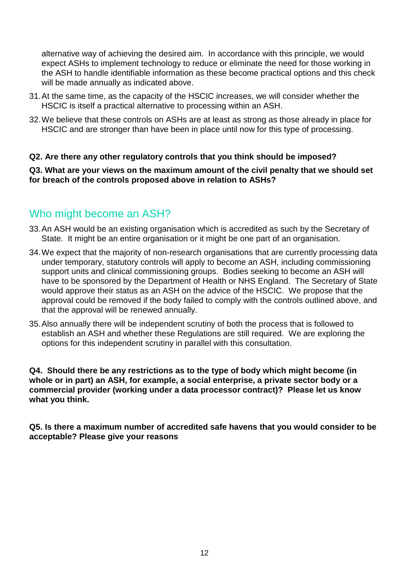alternative way of achieving the desired aim. In accordance with this principle, we would expect ASHs to implement technology to reduce or eliminate the need for those working in the ASH to handle identifiable information as these become practical options and this check will be made annually as indicated above.

- 31.At the same time, as the capacity of the HSCIC increases, we will consider whether the HSCIC is itself a practical alternative to processing within an ASH.
- 32.We believe that these controls on ASHs are at least as strong as those already in place for HSCIC and are stronger than have been in place until now for this type of processing.

#### **Q2. Are there any other regulatory controls that you think should be imposed?**

**Q3. What are your views on the maximum amount of the civil penalty that we should set for breach of the controls proposed above in relation to ASHs?**

#### Who might become an ASH?

- 33.An ASH would be an existing organisation which is accredited as such by the Secretary of State. It might be an entire organisation or it might be one part of an organisation.
- 34.We expect that the majority of non-research organisations that are currently processing data under temporary, statutory controls will apply to become an ASH, including commissioning support units and clinical commissioning groups. Bodies seeking to become an ASH will have to be sponsored by the Department of Health or NHS England. The Secretary of State would approve their status as an ASH on the advice of the HSCIC. We propose that the approval could be removed if the body failed to comply with the controls outlined above, and that the approval will be renewed annually.
- 35.Also annually there will be independent scrutiny of both the process that is followed to establish an ASH and whether these Regulations are still required. We are exploring the options for this independent scrutiny in parallel with this consultation.

**Q4. Should there be any restrictions as to the type of body which might become (in whole or in part) an ASH, for example, a social enterprise, a private sector body or a commercial provider (working under a data processor contract)? Please let us know what you think.**

**Q5. Is there a maximum number of accredited safe havens that you would consider to be acceptable? Please give your reasons**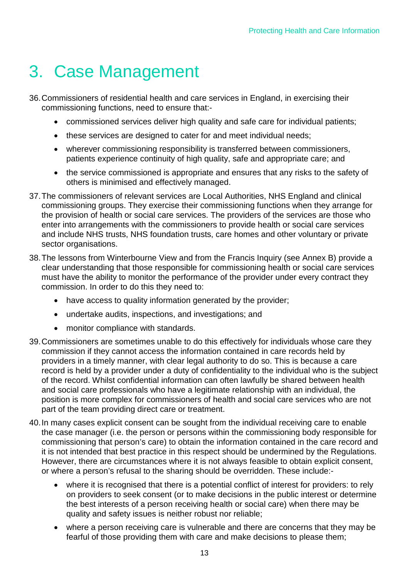# 3. Case Management

- 36.Commissioners of residential health and care services in England, in exercising their commissioning functions, need to ensure that:-
	- commissioned services deliver high quality and safe care for individual patients;
	- these services are designed to cater for and meet individual needs;
	- wherever commissioning responsibility is transferred between commissioners, patients experience continuity of high quality, safe and appropriate care; and
	- the service commissioned is appropriate and ensures that any risks to the safety of others is minimised and effectively managed.
- 37.The commissioners of relevant services are Local Authorities, NHS England and clinical commissioning groups. They exercise their commissioning functions when they arrange for the provision of health or social care services. The providers of the services are those who enter into arrangements with the commissioners to provide health or social care services and include NHS trusts, NHS foundation trusts, care homes and other voluntary or private sector organisations.
- 38.The lessons from Winterbourne View and from the Francis Inquiry (see Annex B) provide a clear understanding that those responsible for commissioning health or social care services must have the ability to monitor the performance of the provider under every contract they commission. In order to do this they need to:
	- have access to quality information generated by the provider;
	- undertake audits, inspections, and investigations; and
	- monitor compliance with standards.
- 39.Commissioners are sometimes unable to do this effectively for individuals whose care they commission if they cannot access the information contained in care records held by providers in a timely manner, with clear legal authority to do so. This is because a care record is held by a provider under a duty of confidentiality to the individual who is the subject of the record. Whilst confidential information can often lawfully be shared between health and social care professionals who have a legitimate relationship with an individual, the position is more complex for commissioners of health and social care services who are not part of the team providing direct care or treatment.
- 40.In many cases explicit consent can be sought from the individual receiving care to enable the case manager (i.e. the person or persons within the commissioning body responsible for commissioning that person's care) to obtain the information contained in the care record and it is not intended that best practice in this respect should be undermined by the Regulations. However, there are circumstances where it is not always feasible to obtain explicit consent, or where a person's refusal to the sharing should be overridden. These include:
	- where it is recognised that there is a potential conflict of interest for providers: to rely on providers to seek consent (or to make decisions in the public interest or determine the best interests of a person receiving health or social care) when there may be quality and safety issues is neither robust nor reliable;
	- where a person receiving care is vulnerable and there are concerns that they may be fearful of those providing them with care and make decisions to please them;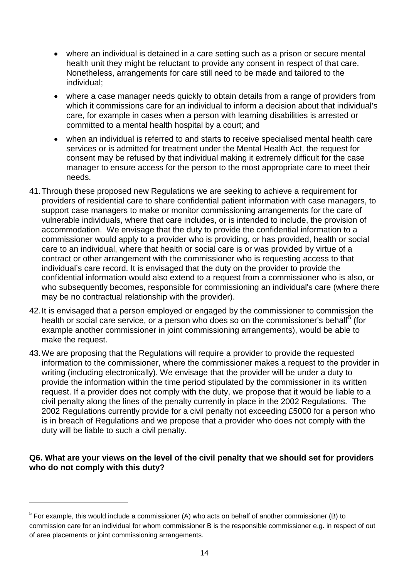- where an individual is detained in a care setting such as a prison or secure mental health unit they might be reluctant to provide any consent in respect of that care. Nonetheless, arrangements for care still need to be made and tailored to the individual;
- where a case manager needs quickly to obtain details from a range of providers from which it commissions care for an individual to inform a decision about that individual's care, for example in cases when a person with learning disabilities is arrested or committed to a mental health hospital by a court; and
- when an individual is referred to and starts to receive specialised mental health care services or is admitted for treatment under the Mental Health Act, the request for consent may be refused by that individual making it extremely difficult for the case manager to ensure access for the person to the most appropriate care to meet their needs.
- 41.Through these proposed new Regulations we are seeking to achieve a requirement for providers of residential care to share confidential patient information with case managers, to support case managers to make or monitor commissioning arrangements for the care of vulnerable individuals, where that care includes, or is intended to include, the provision of accommodation. We envisage that the duty to provide the confidential information to a commissioner would apply to a provider who is providing, or has provided, health or social care to an individual, where that health or social care is or was provided by virtue of a contract or other arrangement with the commissioner who is requesting access to that individual's care record. It is envisaged that the duty on the provider to provide the confidential information would also extend to a request from a commissioner who is also, or who subsequently becomes, responsible for commissioning an individual's care (where there may be no contractual relationship with the provider).
- 42.It is envisaged that a person employed or engaged by the commissioner to commission the health or social care service, or a person who does so on the commissioner's behalf<sup>[5](#page-8-0)</sup> (for example another commissioner in joint commissioning arrangements), would be able to make the request.
- 43.We are proposing that the Regulations will require a provider to provide the requested information to the commissioner, where the commissioner makes a request to the provider in writing (including electronically). We envisage that the provider will be under a duty to provide the information within the time period stipulated by the commissioner in its written request. If a provider does not comply with the duty, we propose that it would be liable to a civil penalty along the lines of the penalty currently in place in the 2002 Regulations. The 2002 Regulations currently provide for a civil penalty not exceeding £5000 for a person who is in breach of Regulations and we propose that a provider who does not comply with the duty will be liable to such a civil penalty.

#### **Q6. What are your views on the level of the civil penalty that we should set for providers who do not comply with this duty?**

<span id="page-13-0"></span> $5$  For example, this would include a commissioner (A) who acts on behalf of another commissioner (B) to commission care for an individual for whom commissioner B is the responsible commissioner e.g. in respect of out of area placements or joint commissioning arrangements.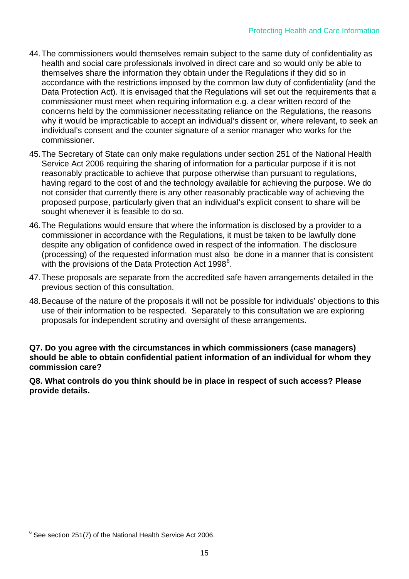- 44.The commissioners would themselves remain subject to the same duty of confidentiality as health and social care professionals involved in direct care and so would only be able to themselves share the information they obtain under the Regulations if they did so in accordance with the restrictions imposed by the common law duty of confidentiality (and the Data Protection Act). It is envisaged that the Regulations will set out the requirements that a commissioner must meet when requiring information e.g. a clear written record of the concerns held by the commissioner necessitating reliance on the Regulations, the reasons why it would be impracticable to accept an individual's dissent or, where relevant, to seek an individual's consent and the counter signature of a senior manager who works for the commissioner.
- 45.The Secretary of State can only make regulations under section 251 of the National Health Service Act 2006 requiring the sharing of information for a particular purpose if it is not reasonably practicable to achieve that purpose otherwise than pursuant to regulations, having regard to the cost of and the technology available for achieving the purpose. We do not consider that currently there is any other reasonably practicable way of achieving the proposed purpose, particularly given that an individual's explicit consent to share will be sought whenever it is feasible to do so.
- 46.The Regulations would ensure that where the information is disclosed by a provider to a commissioner in accordance with the Regulations, it must be taken to be lawfully done despite any obligation of confidence owed in respect of the information. The disclosure (processing) of the requested information must also be done in a manner that is consistent with the provisions of the Data Protection Act 1998 $^6$  $^6$ .
- 47.These proposals are separate from the accredited safe haven arrangements detailed in the previous section of this consultation.
- 48.Because of the nature of the proposals it will not be possible for individuals' objections to this use of their information to be respected. Separately to this consultation we are exploring proposals for independent scrutiny and oversight of these arrangements.

**Q7. Do you agree with the circumstances in which commissioners (case managers) should be able to obtain confidential patient information of an individual for whom they commission care?** 

**Q8. What controls do you think should be in place in respect of such access? Please provide details.**

<span id="page-14-0"></span> $6$  See section 251(7) of the National Health Service Act 2006.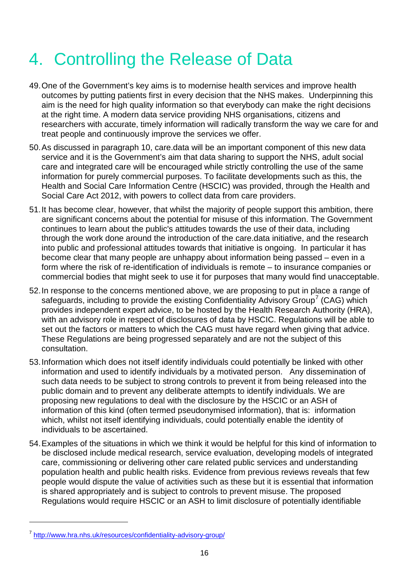# 4. Controlling the Release of Data

- 49.One of the Government's key aims is to modernise health services and improve health outcomes by putting patients first in every decision that the NHS makes. Underpinning this aim is the need for high quality information so that everybody can make the right decisions at the right time. A modern data service providing NHS organisations, citizens and researchers with accurate, timely information will radically transform the way we care for and treat people and continuously improve the services we offer.
- 50.As discussed in paragraph 10, care.data will be an important component of this new data service and it is the Government's aim that data sharing to support the NHS, adult social care and integrated care will be encouraged while strictly controlling the use of the same information for purely commercial purposes. To facilitate developments such as this, the Health and Social Care Information Centre (HSCIC) was provided, through the Health and Social Care Act 2012, with powers to collect data from care providers.
- 51.It has become clear, however, that whilst the majority of people support this ambition, there are significant concerns about the potential for misuse of this information. The Government continues to learn about the public's attitudes towards the use of their data, including through the work done around the introduction of the care.data initiative, and the research into public and professional attitudes towards that initiative is ongoing. In particular it has become clear that many people are unhappy about information being passed – even in a form where the risk of re-identification of individuals is remote – to insurance companies or commercial bodies that might seek to use it for purposes that many would find unacceptable.
- 52.In response to the concerns mentioned above, we are proposing to put in place a range of safeguards, including to provide the existing Confidentiality Advisory Group<sup>[7](#page-14-0)</sup> (CAG) which provides independent expert advice, to be hosted by the Health Research Authority (HRA), with an advisory role in respect of disclosures of data by HSCIC. Regulations will be able to set out the factors or matters to which the CAG must have regard when giving that advice. These Regulations are being progressed separately and are not the subject of this consultation.
- 53.Information which does not itself identify individuals could potentially be linked with other information and used to identify individuals by a motivated person. Any dissemination of such data needs to be subject to strong controls to prevent it from being released into the public domain and to prevent any deliberate attempts to identify individuals. We are proposing new regulations to deal with the disclosure by the HSCIC or an ASH of information of this kind (often termed pseudonymised information), that is: information which, whilst not itself identifying individuals, could potentially enable the identity of individuals to be ascertained.
- 54.Examples of the situations in which we think it would be helpful for this kind of information to be disclosed include medical research, service evaluation, developing models of integrated care, commissioning or delivering other care related public services and understanding population health and public health risks. Evidence from previous reviews reveals that few people would dispute the value of activities such as these but it is essential that information is shared appropriately and is subject to controls to prevent misuse. The proposed Regulations would require HSCIC or an ASH to limit disclosure of potentially identifiable

<span id="page-15-0"></span><sup>7</sup> <http://www.hra.nhs.uk/resources/confidentiality-advisory-group/>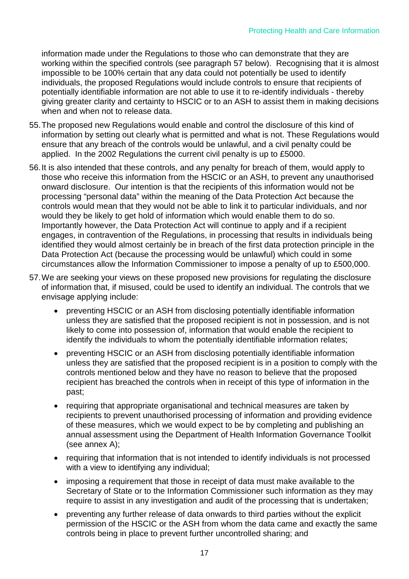information made under the Regulations to those who can demonstrate that they are working within the specified controls (see paragraph 57 below). Recognising that it is almost impossible to be 100% certain that any data could not potentially be used to identify individuals, the proposed Regulations would include controls to ensure that recipients of potentially identifiable information are not able to use it to re-identify individuals - thereby giving greater clarity and certainty to HSCIC or to an ASH to assist them in making decisions when and when not to release data.

- 55.The proposed new Regulations would enable and control the disclosure of this kind of information by setting out clearly what is permitted and what is not. These Regulations would ensure that any breach of the controls would be unlawful, and a civil penalty could be applied. In the 2002 Regulations the current civil penalty is up to £5000.
- 56.It is also intended that these controls, and any penalty for breach of them, would apply to those who receive this information from the HSCIC or an ASH, to prevent any unauthorised onward disclosure. Our intention is that the recipients of this information would not be processing "personal data" within the meaning of the Data Protection Act because the controls would mean that they would not be able to link it to particular individuals, and nor would they be likely to get hold of information which would enable them to do so. Importantly however, the Data Protection Act will continue to apply and if a recipient engages, in contravention of the Regulations, in processing that results in individuals being identified they would almost certainly be in breach of the first data protection principle in the Data Protection Act (because the processing would be unlawful) which could in some circumstances allow the Information Commissioner to impose a penalty of up to £500,000.
- 57.We are seeking your views on these proposed new provisions for regulating the disclosure of information that, if misused, could be used to identify an individual. The controls that we envisage applying include:
	- preventing HSCIC or an ASH from disclosing potentially identifiable information unless they are satisfied that the proposed recipient is not in possession, and is not likely to come into possession of, information that would enable the recipient to identify the individuals to whom the potentially identifiable information relates;
	- preventing HSCIC or an ASH from disclosing potentially identifiable information unless they are satisfied that the proposed recipient is in a position to comply with the controls mentioned below and they have no reason to believe that the proposed recipient has breached the controls when in receipt of this type of information in the past;
	- requiring that appropriate organisational and technical measures are taken by recipients to prevent unauthorised processing of information and providing evidence of these measures, which we would expect to be by completing and publishing an annual assessment using the Department of Health Information Governance Toolkit (see annex A);
	- requiring that information that is not intended to identify individuals is not processed with a view to identifying any individual;
	- imposing a requirement that those in receipt of data must make available to the Secretary of State or to the Information Commissioner such information as they may require to assist in any investigation and audit of the processing that is undertaken;
	- preventing any further release of data onwards to third parties without the explicit permission of the HSCIC or the ASH from whom the data came and exactly the same controls being in place to prevent further uncontrolled sharing; and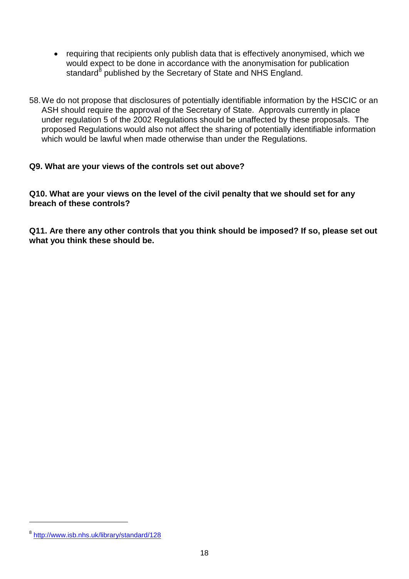- requiring that recipients only publish data that is effectively anonymised, which we would expect to be done in accordance with the anonymisation for publication standard<sup>[8](#page-15-0)</sup> published by the Secretary of State and NHS England.
- 58.We do not propose that disclosures of potentially identifiable information by the HSCIC or an ASH should require the approval of the Secretary of State. Approvals currently in place under regulation 5 of the 2002 Regulations should be unaffected by these proposals. The proposed Regulations would also not affect the sharing of potentially identifiable information which would be lawful when made otherwise than under the Regulations.

#### **Q9. What are your views of the controls set out above?**

**Q10. What are your views on the level of the civil penalty that we should set for any breach of these controls?**

**Q11. Are there any other controls that you think should be imposed? If so, please set out what you think these should be.**

<span id="page-17-0"></span><sup>8</sup> <http://www.isb.nhs.uk/library/standard/128>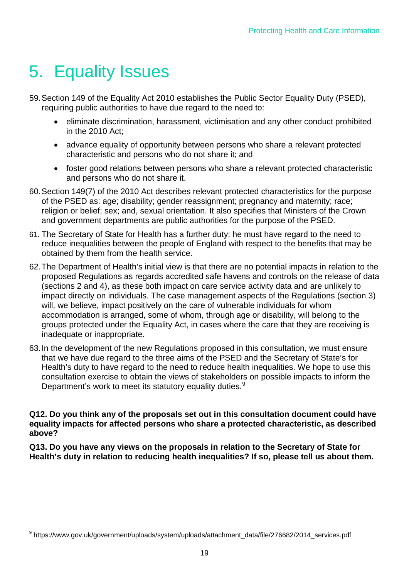# 5. Equality Issues

 $\overline{a}$ 

- 59.Section 149 of the Equality Act 2010 establishes the Public Sector Equality Duty (PSED), requiring public authorities to have due regard to the need to:
	- eliminate discrimination, harassment, victimisation and any other conduct prohibited in the 2010 Act;
	- advance equality of opportunity between persons who share a relevant protected characteristic and persons who do not share it; and
	- foster good relations between persons who share a relevant protected characteristic and persons who do not share it.
- 60.Section 149(7) of the 2010 Act describes relevant protected characteristics for the purpose of the PSED as: age; disability; gender reassignment; pregnancy and maternity; race; religion or belief; sex; and, sexual orientation. It also specifies that Ministers of the Crown and government departments are public authorities for the purpose of the PSED.
- 61. The Secretary of State for Health has a further duty: he must have regard to the need to reduce inequalities between the people of England with respect to the benefits that may be obtained by them from the health service.
- 62.The Department of Health's initial view is that there are no potential impacts in relation to the proposed Regulations as regards accredited safe havens and controls on the release of data (sections 2 and 4), as these both impact on care service activity data and are unlikely to impact directly on individuals. The case management aspects of the Regulations (section 3) will, we believe, impact positively on the care of vulnerable individuals for whom accommodation is arranged, some of whom, through age or disability, will belong to the groups protected under the Equality Act, in cases where the care that they are receiving is inadequate or inappropriate.
- 63.In the development of the new Regulations proposed in this consultation, we must ensure that we have due regard to the three aims of the PSED and the Secretary of State's for Health's duty to have regard to the need to reduce health inequalities. We hope to use this consultation exercise to obtain the views of stakeholders on possible impacts to inform the Department's work to meet its statutory equality duties.<sup>[9](#page-17-0)</sup>

#### **Q12. Do you think any of the proposals set out in this consultation document could have equality impacts for affected persons who share a protected characteristic, as described above?**

**Q13. Do you have any views on the proposals in relation to the Secretary of State for Health's duty in relation to reducing health inequalities? If so, please tell us about them.**

<span id="page-18-0"></span><sup>9</sup> https://www.gov.uk/government/uploads/system/uploads/attachment\_data/file/276682/2014\_services.pdf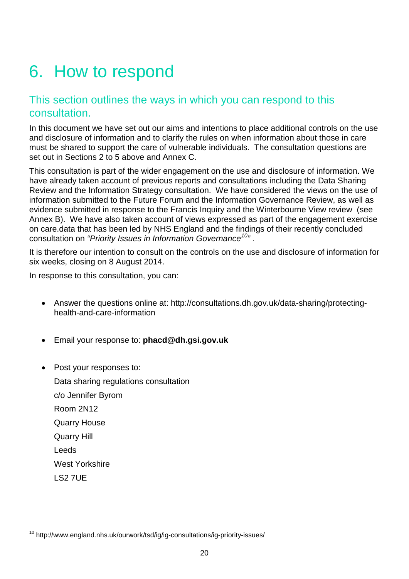# 6. How to respond

### This section outlines the ways in which you can respond to this consultation.

In this document we have set out our aims and intentions to place additional controls on the use and disclosure of information and to clarify the rules on when information about those in care must be shared to support the care of vulnerable individuals. The consultation questions are set out in Sections 2 to 5 above and Annex C.

This consultation is part of the wider engagement on the use and disclosure of information. We have already taken account of previous reports and consultations including the Data Sharing Review and the Information Strategy consultation. We have considered the views on the use of information submitted to the Future Forum and the Information Governance Review, as well as evidence submitted in response to the Francis Inquiry and the Winterbourne View review (see Annex B). We have also taken account of views expressed as part of the engagement exercise on care.data that has been led by NHS England and the findings of their recently concluded consultation on *"Priority Issues in Information Governance[10](#page-18-0)"* .

It is therefore our intention to consult on the controls on the use and disclosure of information for six weeks, closing on 8 August 2014.

In response to this consultation, you can:

- Answer the questions online at: http://consultations.dh.gov.uk/data-sharing/protectinghealth-and-care-information
- Email your response to: **phacd@dh.gsi.gov.uk**
- Post your responses to:

 $\overline{a}$ 

Data sharing regulations consultation c/o Jennifer Byrom Room 2N12 Quarry House Quarry Hill Leeds West Yorkshire LS2 7UE

<span id="page-19-0"></span><sup>&</sup>lt;sup>10</sup> http://www.england.nhs.uk/ourwork/tsd/ig/ig-consultations/ig-priority-issues/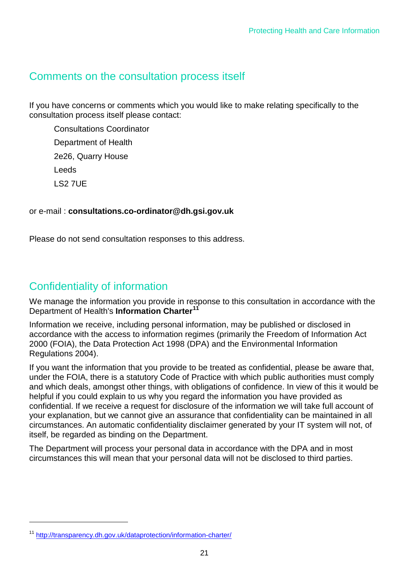### Comments on the consultation process itself

If you have concerns or comments which you would like to make relating specifically to the consultation process itself please contact:

Consultations Coordinator Department of Health 2e26, Quarry House Leeds LS2 7UE

#### or e-mail : **consultations.co-ordinator@dh.gsi.gov.uk**

Please do not send consultation responses to this address.

#### Confidentiality of information

We manage the information you provide in response to this consultation in accordance with the Department of Health's **Information Charter[11](#page-19-0)**

Information we receive, including personal information, may be published or disclosed in accordance with the access to information regimes (primarily the Freedom of Information Act 2000 (FOIA), the Data Protection Act 1998 (DPA) and the Environmental Information Regulations 2004).

If you want the information that you provide to be treated as confidential, please be aware that, under the FOIA, there is a statutory Code of Practice with which public authorities must comply and which deals, amongst other things, with obligations of confidence. In view of this it would be helpful if you could explain to us why you regard the information you have provided as confidential. If we receive a request for disclosure of the information we will take full account of your explanation, but we cannot give an assurance that confidentiality can be maintained in all circumstances. An automatic confidentiality disclaimer generated by your IT system will not, of itself, be regarded as binding on the Department.

The Department will process your personal data in accordance with the DPA and in most circumstances this will mean that your personal data will not be disclosed to third parties.

<span id="page-20-0"></span><sup>11</sup> <http://transparency.dh.gov.uk/dataprotection/information-charter/>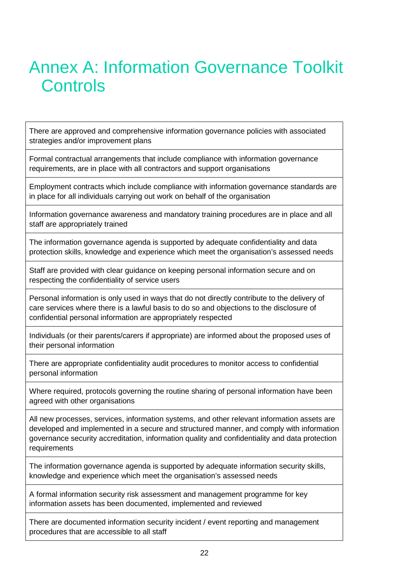# Annex A: Information Governance Toolkit **Controls**

There are approved and comprehensive information governance policies with associated strategies and/or improvement plans

Formal contractual arrangements that include compliance with information governance requirements, are in place with all contractors and support organisations

Employment contracts which include compliance with information governance standards are in place for all individuals carrying out work on behalf of the organisation

Information governance awareness and mandatory training procedures are in place and all staff are appropriately trained

The information governance agenda is supported by adequate confidentiality and data protection skills, knowledge and experience which meet the organisation's assessed needs

Staff are provided with clear guidance on keeping personal information secure and on respecting the confidentiality of service users

Personal information is only used in ways that do not directly contribute to the delivery of care services where there is a lawful basis to do so and objections to the disclosure of confidential personal information are appropriately respected

Individuals (or their parents/carers if appropriate) are informed about the proposed uses of their personal information

There are appropriate confidentiality audit procedures to monitor access to confidential personal information

Where required, protocols governing the routine sharing of personal information have been agreed with other organisations

All new processes, services, information systems, and other relevant information assets are developed and implemented in a secure and structured manner, and comply with information governance security accreditation, information quality and confidentiality and data protection requirements

The information governance agenda is supported by adequate information security skills, knowledge and experience which meet the organisation's assessed needs

A formal information security risk assessment and management programme for key information assets has been documented, implemented and reviewed

There are documented information security incident / event reporting and management procedures that are accessible to all staff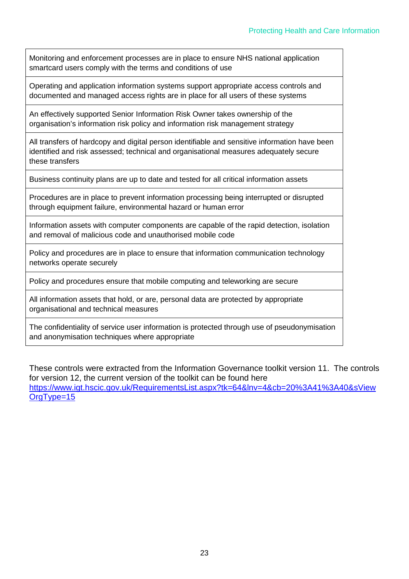Monitoring and enforcement processes are in place to ensure NHS national application smartcard users comply with the terms and conditions of use

Operating and application information systems support appropriate access controls and documented and managed access rights are in place for all users of these systems

An effectively supported Senior Information Risk Owner takes ownership of the organisation's information risk policy and information risk management strategy

All transfers of hardcopy and digital person identifiable and sensitive information have been identified and risk assessed; technical and organisational measures adequately secure these transfers

Business continuity plans are up to date and tested for all critical information assets

Procedures are in place to prevent information processing being interrupted or disrupted through equipment failure, environmental hazard or human error

Information assets with computer components are capable of the rapid detection, isolation and removal of malicious code and unauthorised mobile code

Policy and procedures are in place to ensure that information communication technology networks operate securely

Policy and procedures ensure that mobile computing and teleworking are secure

All information assets that hold, or are, personal data are protected by appropriate organisational and technical measures

The confidentiality of service user information is protected through use of pseudonymisation and anonymisation techniques where appropriate

These controls were extracted from the Information Governance toolkit version 11. The controls for version 12, the current version of the toolkit can be found here [https://www.igt.hscic.gov.uk/RequirementsList.aspx?tk=64&lnv=4&cb=20%3A41%3A40&sView](https://www.igt.hscic.gov.uk/RequirementsList.aspx?tk=64&lnv=4&cb=20%3A41%3A40&sViewOrgType=15) [OrgType=15](https://www.igt.hscic.gov.uk/RequirementsList.aspx?tk=64&lnv=4&cb=20%3A41%3A40&sViewOrgType=15)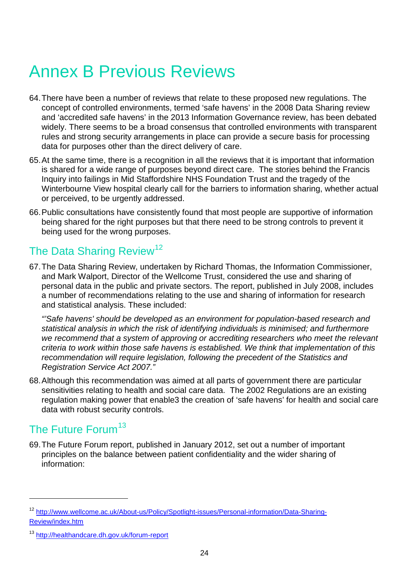# Annex B Previous Reviews

- 64.There have been a number of reviews that relate to these proposed new regulations. The concept of controlled environments, termed 'safe havens' in the 2008 Data Sharing review and 'accredited safe havens' in the 2013 Information Governance review, has been debated widely. There seems to be a broad consensus that controlled environments with transparent rules and strong security arrangements in place can provide a secure basis for processing data for purposes other than the direct delivery of care.
- 65.At the same time, there is a recognition in all the reviews that it is important that information is shared for a wide range of purposes beyond direct care. The stories behind the Francis Inquiry into failings in Mid Staffordshire NHS Foundation Trust and the tragedy of the Winterbourne View hospital clearly call for the barriers to information sharing, whether actual or perceived, to be urgently addressed.
- 66.Public consultations have consistently found that most people are supportive of information being shared for the right purposes but that there need to be strong controls to prevent it being used for the wrong purposes.

### The Data Sharing Review<sup>[12](#page-20-0)</sup>

67.The Data Sharing Review, undertaken by Richard Thomas, the Information Commissioner, and Mark Walport, Director of the Wellcome Trust, considered the use and sharing of personal data in the public and private sectors. The report, published in July 2008, includes a number of recommendations relating to the use and sharing of information for research and statistical analysis. These included:

*"'Safe havens' should be developed as an environment for population-based research and statistical analysis in which the risk of identifying individuals is minimised; and furthermore we recommend that a system of approving or accrediting researchers who meet the relevant criteria to work within those safe havens is established. We think that implementation of this recommendation will require legislation, following the precedent of the Statistics and Registration Service Act 2007."*

68.Although this recommendation was aimed at all parts of government there are particular sensitivities relating to health and social care data. The 2002 Regulations are an existing regulation making power that enable3 the creation of 'safe havens' for health and social care data with robust security controls.

### The Future Forum<sup>[13](#page-23-0)</sup>

 $\overline{a}$ 

69.The Future Forum report, published in January 2012, set out a number of important principles on the balance between patient confidentiality and the wider sharing of information:

<span id="page-23-1"></span><sup>12</sup> [http://www.wellcome.ac.uk/About-us/Policy/Spotlight-issues/Personal-information/Data-Sharing-](http://www.wellcome.ac.uk/About-us/Policy/Spotlight-issues/Personal-information/Data-Sharing-Review/index.htm)[Review/index.htm](http://www.wellcome.ac.uk/About-us/Policy/Spotlight-issues/Personal-information/Data-Sharing-Review/index.htm)

<span id="page-23-0"></span><sup>13</sup> <http://healthandcare.dh.gov.uk/forum-report>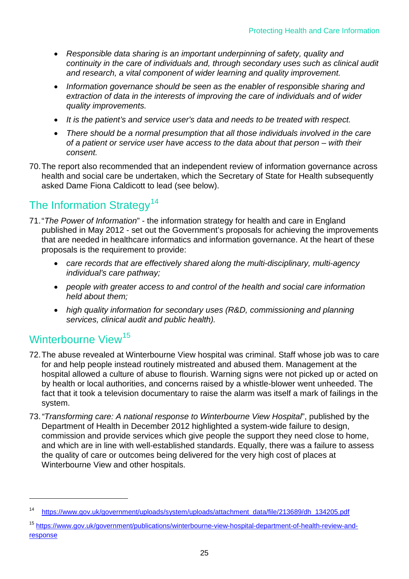- *Responsible data sharing is an important underpinning of safety, quality and continuity in the care of individuals and, through secondary uses such as clinical audit and research, a vital component of wider learning and quality improvement.*
- *Information governance should be seen as the enabler of responsible sharing and extraction of data in the interests of improving the care of individuals and of wider quality improvements.*
- *It is the patient's and service user's data and needs to be treated with respect.*
- *There should be a normal presumption that all those individuals involved in the care of a patient or service user have access to the data about that person – with their consent.*
- 70.The report also recommended that an independent review of information governance across health and social care be undertaken, which the Secretary of State for Health subsequently asked Dame Fiona Caldicott to lead (see below).

## The Information Strategy<sup>[14](#page-23-1)</sup>

- 71."*The Power of Information*" the information strategy for health and care in England published in May 2012 - set out the Government's proposals for achieving the improvements that are needed in healthcare informatics and information governance. At the heart of these proposals is the requirement to provide:
	- *care records that are effectively shared along the multi-disciplinary, multi-agency individual's care pathway;*
	- *people with greater access to and control of the health and social care information held about them;*
	- *high quality information for secondary uses (R&D, commissioning and planning services, clinical audit and public health).*

### Winterbourne View<sup>[15](#page-24-0)</sup>

- 72.The abuse revealed at Winterbourne View hospital was criminal. Staff whose job was to care for and help people instead routinely mistreated and abused them. Management at the hospital allowed a culture of abuse to flourish. Warning signs were not picked up or acted on by health or local authorities, and concerns raised by a whistle-blower went unheeded. The fact that it took a television documentary to raise the alarm was itself a mark of failings in the system.
- 73.*"Transforming care: A national response to Winterbourne View Hospital*", published by the Department of Health in December 2012 highlighted a system-wide failure to design, commission and provide services which give people the support they need close to home, and which are in line with well-established standards. Equally, there was a failure to assess the quality of care or outcomes being delivered for the very high cost of places at Winterbourne View and other hospitals.

<sup>14</sup> [https://www.gov.uk/government/uploads/system/uploads/attachment\\_data/file/213689/dh\\_134205.pdf](https://www.gov.uk/government/uploads/system/uploads/attachment_data/file/213689/dh_134205.pdf)

<span id="page-24-1"></span><span id="page-24-0"></span><sup>15</sup> [https://www.gov.uk/government/publications/winterbourne-view-hospital-department-of-health-review-and](https://www.gov.uk/government/publications/winterbourne-view-hospital-department-of-health-review-and-response)[response](https://www.gov.uk/government/publications/winterbourne-view-hospital-department-of-health-review-and-response)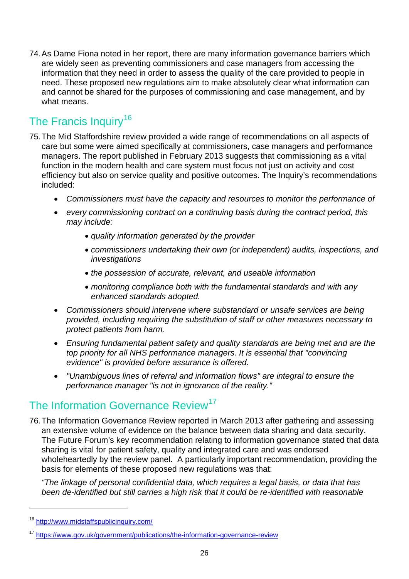74.As Dame Fiona noted in her report, there are many information governance barriers which are widely seen as preventing commissioners and case managers from accessing the information that they need in order to assess the quality of the care provided to people in need. These proposed new regulations aim to make absolutely clear what information can and cannot be shared for the purposes of commissioning and case management, and by what means.

## The Francis Inquiry<sup>[16](#page-24-1)</sup>

- 75.The Mid Staffordshire review provided a wide range of recommendations on all aspects of care but some were aimed specifically at commissioners, case managers and performance managers. The report published in February 2013 suggests that commissioning as a vital function in the modern health and care system must focus not just on activity and cost efficiency but also on service quality and positive outcomes. The Inquiry's recommendations included:
	- *Commissioners must have the capacity and resources to monitor the performance of*
	- *every commissioning contract on a continuing basis during the contract period, this may include:*
		- *quality information generated by the provider*
		- *commissioners undertaking their own (or independent) audits, inspections, and investigations*
		- *the possession of accurate, relevant, and useable information*
		- *monitoring compliance both with the fundamental standards and with any enhanced standards adopted.*
	- *Commissioners should intervene where substandard or unsafe services are being provided, including requiring the substitution of staff or other measures necessary to protect patients from harm.*
	- *Ensuring fundamental patient safety and quality standards are being met and are the top priority for all NHS performance managers. It is essential that "convincing evidence" is provided before assurance is offered.*
	- *"Unambiguous lines of referral and information flows" are integral to ensure the performance manager "is not in ignorance of the reality."*

### The Information Governance Review<sup>[17](#page-25-0)</sup>

76.The Information Governance Review reported in March 2013 after gathering and assessing an extensive volume of evidence on the balance between data sharing and data security. The Future Forum's key recommendation relating to information governance stated that data sharing is vital for patient safety, quality and integrated care and was endorsed wholeheartedly by the review panel. A particularly important recommendation, providing the basis for elements of these proposed new regulations was that:

*"The linkage of personal confidential data, which requires a legal basis, or data that has been de-identified but still carries a high risk that it could be re-identified with reasonable* 

<sup>16</sup> <http://www.midstaffspublicinquiry.com/>

<span id="page-25-0"></span><sup>&</sup>lt;sup>17</sup> <https://www.gov.uk/government/publications/the-information-governance-review>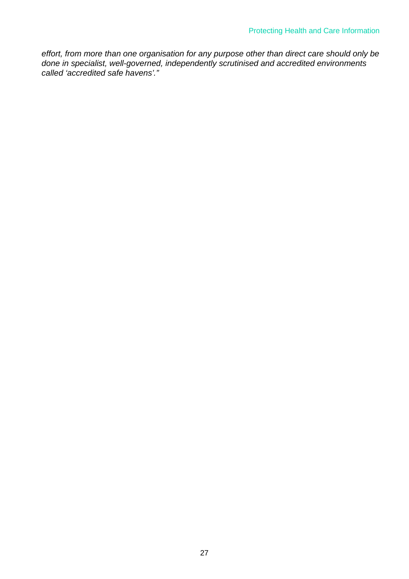*effort, from more than one organisation for any purpose other than direct care should only be done in specialist, well-governed, independently scrutinised and accredited environments called 'accredited safe havens'."*